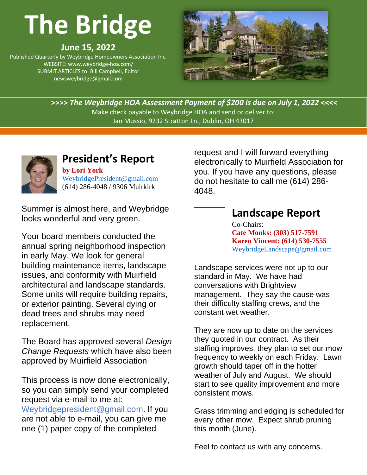# **The Bridge**

### **June 15, 2022**

Published Quarterly by Weybridge Homeowners Association Inc. WEBSITE: www.weybridge-hoa.com/ SUBMIT ARTICLES to: Bill Campbell, Editor newsweybridge@gmail.com



**>>>>** *The Weybridge HOA Assessment Payment of \$200 is due on July 1, 2022* **<<<<** Make check payable to Weybridge HOA and send or deliver to: Jan Mussio, 9232 Stratton Ln., Dublin, OH 43017



#### **President's Report by Lori York** [WeybridgePresident@gmail.com](mailto:WeybridgePresident@gmail.com) (614) 286-4048 / 9306 Muirkirk

Summer is almost here, and Weybridge looks wonderful and very green.

Your board members conducted the annual spring neighborhood inspection in early May. We look for general building maintenance items, landscape issues, and conformity with Muirfield architectural and landscape standards. Some units will require building repairs, or exterior painting. Several dying or dead trees and shrubs may need replacement.

The Board has approved several *Design Change Requests* which have also been approved by Muirfield Association

This process is now done electronically, so you can simply send your completed request via e-mail to me at:

[Weybridgepresident@gmail.com.](mailto:Weybridgepresident@gmail.com) If you are not able to e-mail, you can give me one (1) paper copy of the completed

request and I will forward everything electronically to Muirfield Association for you. If you have any questions, please do not hesitate to call me (614) 286- 4048.



## **Landscape Report**

Co-Chairs: **Cate Monks: (303) 517-7591 Karen Vincent: (614) 530-7555** [WeybridgeLandscape@gmail.com](mailto:WeybridgeLandscape@gmail.com)

Landscape services were not up to our standard in May. We have had conversations with Brightview management. They say the cause was their difficulty staffing crews, and the constant wet weather.

They are now up to date on the services they quoted in our contract. As their staffing improves, they plan to set our mow frequency to weekly on each Friday. Lawn growth should taper off in the hotter weather of July and August. We should start to see quality improvement and more consistent mows.

Grass trimming and edging is scheduled for every other mow. Expect shrub pruning this month (June).

Feel to contact us with any concerns.